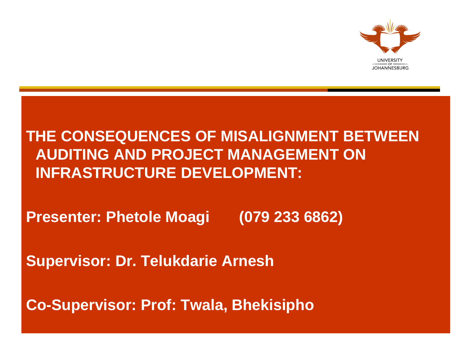

#### **THE CONSEQUENCES OF MISALIGNMENT BETWEEN AUDITING AND PROJECT MANAGEMENT ON INFRASTRUCTURE DEVELOPMENT:**

**Presenter: Phetole Moagi (079 233 6862)** 

**Supervisor: Dr. Telukdarie Arnesh**

**Co-Supervisor: Prof: Twala, Bhekisipho**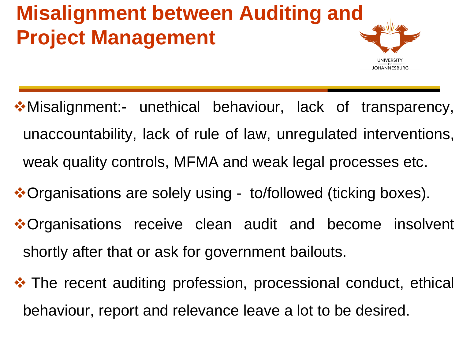#### **Misalignment between Auditing and Project Management**



- Misalignment:- unethical behaviour, lack of transparency, unaccountability, lack of rule of law, unregulated interventions, weak quality controls, MFMA and weak legal processes etc.
- **\*Organisations are solely using to/followed (ticking boxes).**
- **\*Organisations receive clean audit and become insolvent** shortly after that or ask for government bailouts.
- **\*** The recent auditing profession, processional conduct, ethical behaviour, report and relevance leave a lot to be desired.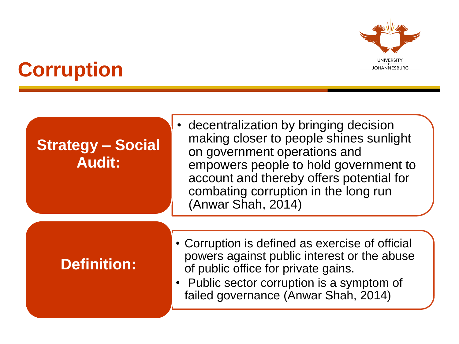

# **Corruption**

#### **Strategy – Social Audit:**

• decentralization by bringing decision making closer to people shines sunlight on government operations and empowers people to hold government to account and thereby offers potential for combating corruption in the long run (Anwar Shah, 2014)

#### **Definition:**

- Corruption is defined as exercise of official powers against public interest or the abuse of public office for private gains.
- Public sector corruption is a symptom of failed governance (Anwar Shah, 2014)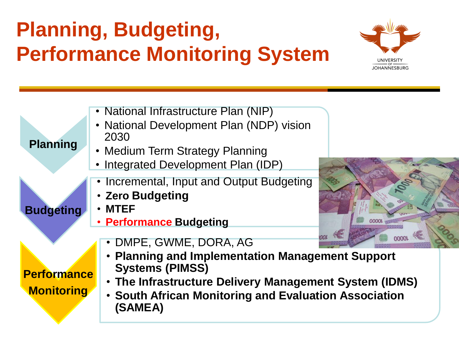# **Planning, Budgeting, Performance Monitoring System**



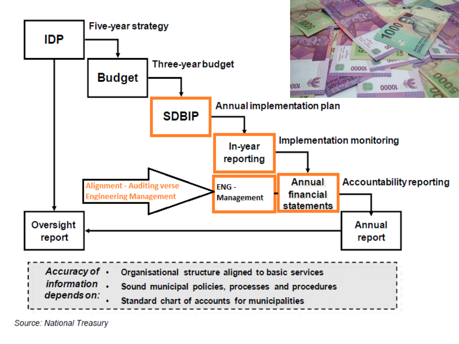

Source: National Treasury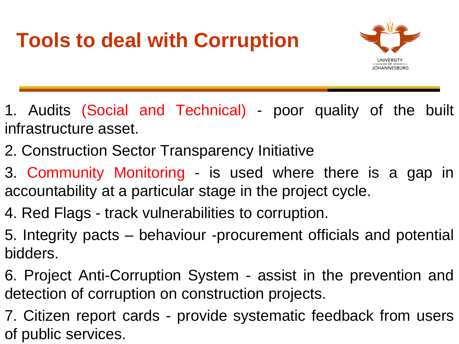# **Tools to deal with Corruption**



- 1. Audits (Social and Technical) poor quality of the built infrastructure asset.
- 2. Construction Sector Transparency Initiative
- 3. Community Monitoring is used where there is a gap in accountability at a particular stage in the project cycle.
- 4. Red Flags track vulnerabilities to corruption.
- 5. Integrity pacts behaviour -procurement officials and potential bidders.
- 6. Project Anti-Corruption System assist in the prevention and detection of corruption on construction projects.
- 7. Citizen report cards provide systematic feedback from users of public services.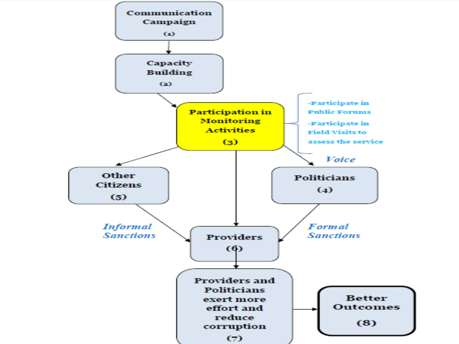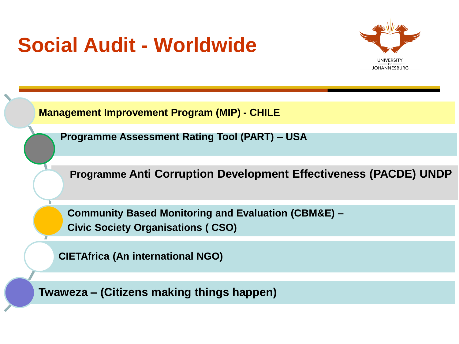# **Social Audit - Worldwide**



**Management Improvement Program (MIP) - CHILE**

**Programme Assessment Rating Tool (PART) – USA**

**Programme Anti Corruption Development Effectiveness (PACDE) UNDP**

**Community Based Monitoring and Evaluation (CBM&E) – Civic Society Organisations ( CSO)**

**CIETAfrica (An international NGO)**

**Twaweza – (Citizens making things happen)**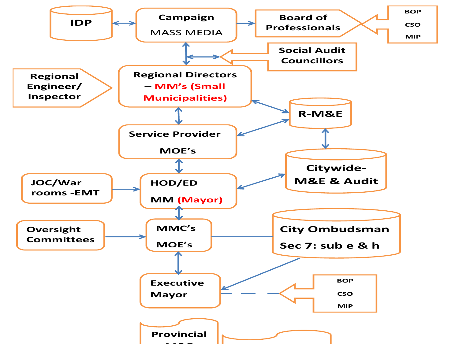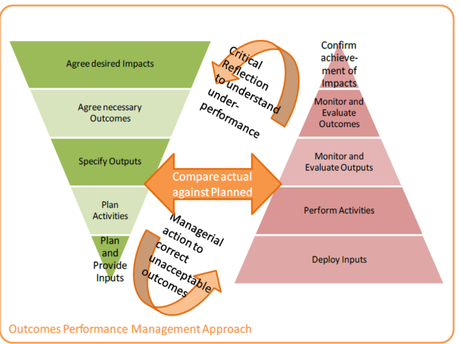

**Outcomes Performance Management Approach**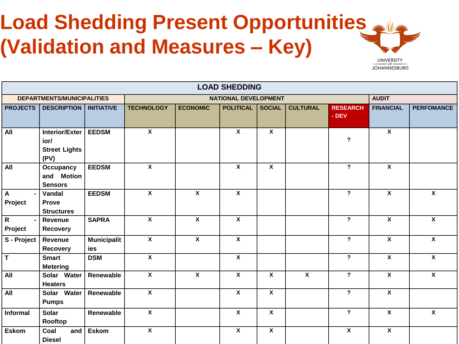# Load Shedding Present Opportunities (Validation and Measures - Key)



| <b>LOAD SHEDDING</b>                        |                                                               |                           |                             |                         |                           |                         |                         |                          |                         |                         |  |
|---------------------------------------------|---------------------------------------------------------------|---------------------------|-----------------------------|-------------------------|---------------------------|-------------------------|-------------------------|--------------------------|-------------------------|-------------------------|--|
| <b>DEPARTMENTS/MUNICIPALITIES</b>           |                                                               |                           | <b>NATIONAL DEVELOPMENT</b> |                         |                           |                         |                         |                          |                         | <b>AUDIT</b>            |  |
| <b>PROJECTS</b>                             | <b>DESCRIPTION</b>                                            | <b>INITIATIVE</b>         | <b>TECHNOLOGY</b>           | <b>ECONOMIC</b>         | <b>POLITICAL</b>          | <b>SOCIAL</b>           | <b>CULTURAL</b>         | <b>RESEARCH</b><br>- DEV | <b>FINANCIAL</b>        | <b>PERFOMANCE</b>       |  |
| <b>All</b>                                  | <b>Interior/Exter</b><br>ior/<br><b>Street Lights</b><br>(PV) | <b>EEDSM</b>              | $\overline{\mathbf{x}}$     |                         | $\mathbf{x}$              | $\mathbf{x}$            |                         | $\overline{\phantom{a}}$ | $\overline{\mathbf{x}}$ |                         |  |
| All                                         | Occupancy<br>and Motion<br><b>Sensors</b>                     | <b>EEDSM</b>              | $\overline{\mathbf{x}}$     |                         | $\overline{\mathbf{x}}$   | $\overline{\mathbf{x}}$ |                         | $\overline{?}$           | $\overline{\mathbf{x}}$ |                         |  |
| $\overline{A}$<br>$\blacksquare$<br>Project | Vandal<br><b>Prove</b><br><b>Structures</b>                   | <b>EEDSM</b>              | $\overline{\mathbf{x}}$     | $\mathbf{x}$            | $\overline{\mathbf{x}}$   |                         |                         | $\overline{?}$           | $\overline{\mathbf{x}}$ | $\overline{\mathbf{x}}$ |  |
| $\overline{R}$<br>$\blacksquare$<br>Project | Revenue<br>Recovery                                           | <b>SAPRA</b>              | $\mathbf{x}$                | $\mathbf{x}$            | $\overline{\mathbf{x}}$   |                         |                         | $\overline{?}$           | $\overline{\mathbf{x}}$ | $\overline{\mathbf{x}}$ |  |
| S - Project                                 | Revenue<br><b>Recovery</b>                                    | <b>Municipalit</b><br>ies | $\overline{\mathbf{x}}$     | $\overline{\mathbf{x}}$ | $\overline{\mathbf{x}}$   |                         |                         | $\overline{?}$           | $\overline{\mathbf{x}}$ | $\overline{\mathbf{x}}$ |  |
| $\overline{\top}$                           | <b>Smart</b><br><b>Metering</b>                               | <b>DSM</b>                | $\boldsymbol{\mathsf{X}}$   |                         | $\overline{\mathbf{X}}$   |                         |                         | $\overline{?}$           | $\overline{\mathbf{x}}$ | $\overline{\mathbf{x}}$ |  |
| All                                         | Solar Water<br><b>Heaters</b>                                 | Renewable                 | $\overline{\mathbf{x}}$     | $\overline{\mathbf{x}}$ | $\overline{\mathbf{x}}$   | $\overline{\mathbf{x}}$ | $\overline{\mathbf{x}}$ | $\overline{?}$           | $\overline{\mathbf{x}}$ | $\overline{\mathbf{x}}$ |  |
| All                                         | Solar Water<br><b>Pumps</b>                                   | Renewable                 | $\overline{\mathbf{x}}$     |                         | $\overline{\mathbf{x}}$   | $\overline{\mathbf{x}}$ |                         | $\overline{?}$           | $\overline{\mathbf{x}}$ |                         |  |
| <b>Informal</b>                             | <b>Solar</b><br>Rooftop                                       | Renewable                 | $\overline{\mathbf{x}}$     |                         | $\boldsymbol{\mathsf{X}}$ | $\mathbf{x}$            |                         | $\overline{?}$           | $\overline{\mathbf{x}}$ | $\mathbf{x}$            |  |
| <b>Eskom</b>                                | Coal<br>and<br><b>Diesel</b>                                  | <b>Eskom</b>              | $\overline{\mathbf{x}}$     |                         | $\overline{\mathbf{x}}$   | $\overline{\mathbf{x}}$ |                         | $\overline{\mathbf{x}}$  | $\overline{\mathbf{X}}$ |                         |  |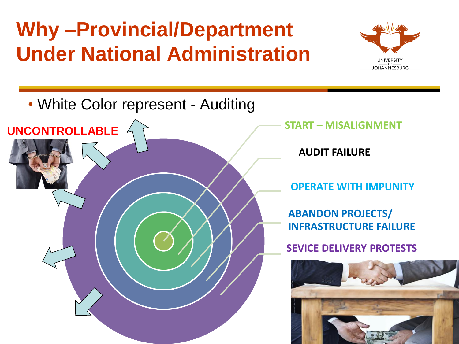# **Why –Provincial/Department Under National Administration**



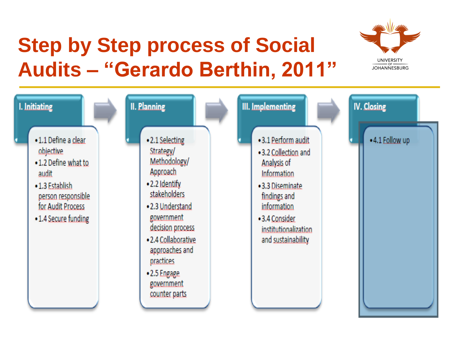### **Step by Step process of Social Audits – "Gerardo Berthin, 2011"**



| •2.4 Collaborative<br>and sustainability<br>approaches and<br>practices<br>•2.5 Engage<br>government<br>counter parts | I. Initiating<br>• 1.1 Define a clear<br>objective<br>•1.2 Define what to<br>audit<br>•1.3 Establish<br>person responsible<br>for Audit Process<br>• 1.4 Secure funding | II. Planning<br>•2.1 Selecting<br>Strategy/<br>Methodology/<br>Approach<br>.2.2 Identify<br>stakeholders<br>•2.3 Understand<br>government<br>decision process | <b>III.</b> Implementing<br>• 3.1 Perform audit<br>•3.2 Collection and<br>Analysis of<br>Information<br>•3.3 Diseminate<br>findings and<br>information<br>• 3.4 Consider<br>institutionalization | IV. Closing<br>.4.1 Follow up |
|-----------------------------------------------------------------------------------------------------------------------|-------------------------------------------------------------------------------------------------------------------------------------------------------------------------|---------------------------------------------------------------------------------------------------------------------------------------------------------------|--------------------------------------------------------------------------------------------------------------------------------------------------------------------------------------------------|-------------------------------|
|-----------------------------------------------------------------------------------------------------------------------|-------------------------------------------------------------------------------------------------------------------------------------------------------------------------|---------------------------------------------------------------------------------------------------------------------------------------------------------------|--------------------------------------------------------------------------------------------------------------------------------------------------------------------------------------------------|-------------------------------|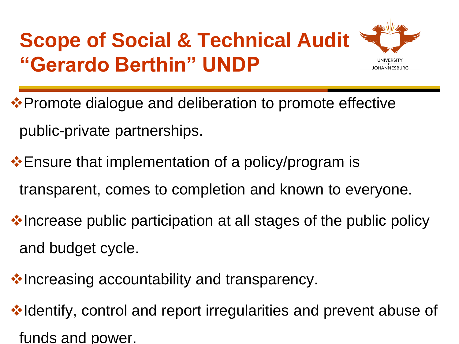# **Scope of Social & Technical Audit "Gerardo Berthin" UNDP**



❖ Promote dialogue and deliberation to promote effective public-private partnerships.

**Ensure that implementation of a policy/program is** transparent, comes to completion and known to everyone.

 $\cdot$  Increase public participation at all stages of the public policy and budget cycle.

**Velocasing accountability and transparency.** 

**Volugionariaty**, control and report irregularities and prevent abuse of funds and power.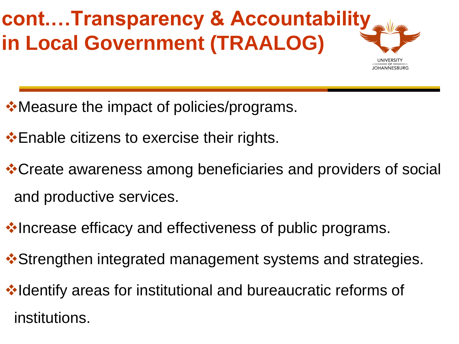# **cont.…Transparency & Accountability in Local Government (TRAALOG)**

- •Measure the impact of policies/programs.
- $\cdot$  Enable citizens to exercise their rights.
- **\*Create awareness among beneficiaries and providers of social** and productive services.
- **Vertheraal efficacy and effectiveness of public programs.**
- $\dots$  **Strengthen integrated management systems and strategies.**
- **Volugional variant videntify areas for institutional and bureaucratic reforms of** institutions.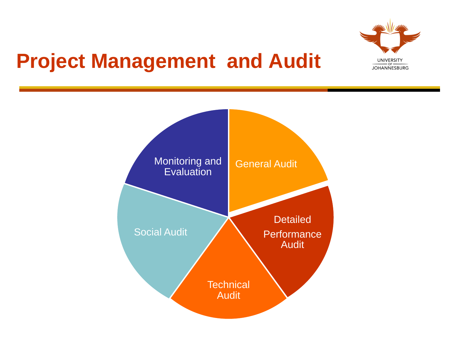

### **Project Management and Audit**

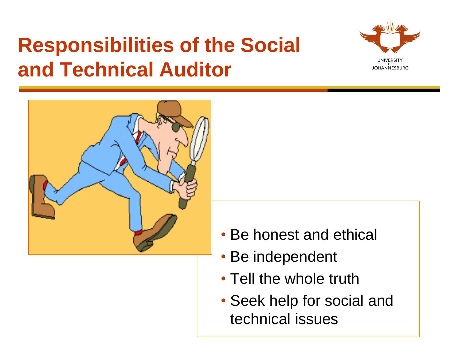# **Responsibilities of the Social and Technical Auditor**





- Be honest and ethical
- Be independent
- Tell the whole truth
- Seek help for social and technical issues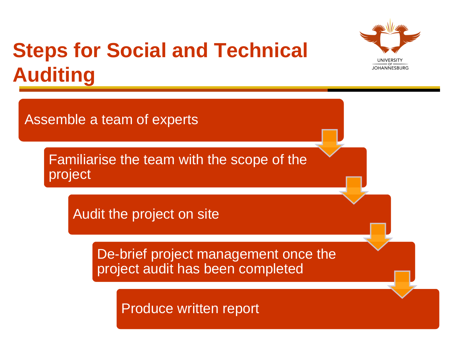# **Steps for Social and Technical Auditing**



Familiarise the team with the scope of the project

Audit the project on site

De-brief project management once the project audit has been completed

Produce written report